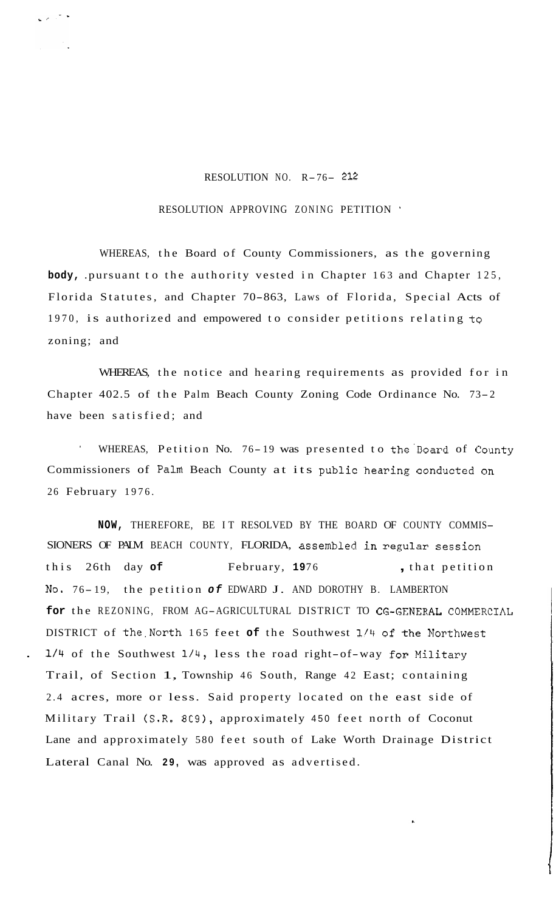## RESOLUTION NO. R-76- <sup>212</sup>

## RESOLUTION APPROVING ZONING PETITION '

WHEREAS, the Board of County Commissioners, as the governing **body,** .pursuant to the authority vested in Chapter 163 and Chapter 125, Florida Statutes, and Chapter 70-863, Laws of Florida, Special Acts of 1970, is authorized and empowered to consider petitions relating **tg**  zoning; and

WHEREAS, the notice and hearing requirements as provided for in Chapter 402.5 of the Palm Beach County Zoning Code Ordinance No. 73-2 have been satisfied; and

WHEREAS, Petition No. 76-19 was presented to the Board of County Commissioners of Palm Beach County at its public hearing conducted on 26 February 1976.

**NOW,** THEREFORE, BE IT RESOLVED BY THE BOARD OF COUNTY COMMIS-SIONERS OF PALM BEACH COUNTY, FLORIDA, assembled in regular session this 26th day of February, 1976 , that petition **No.** 76- 19, the petition *of* EDWARD J. AND DOROTHY B. LAMBERTON **for** the REZONING, FROM AG-AGRICULTURAL DISTRICT TO CG-GENERAL COMMERCIAL DISTRICT of the.North 165 feet **of** the Southwest **1/11** of the Northwest . 1/4 of the Southwest 1/4, less the road right-of-way for Military Trail, of Section 1, Township 46 South, Range 42 East; containing 2.4 acres, more or less. Said property located on the east side of Military Trail (S.R. 809), approximately 450 feet north of Coconut Lane and approximately 580 feet south of Lake Worth Drainage District Lateral Canal No. **29,** was approved as advertised.